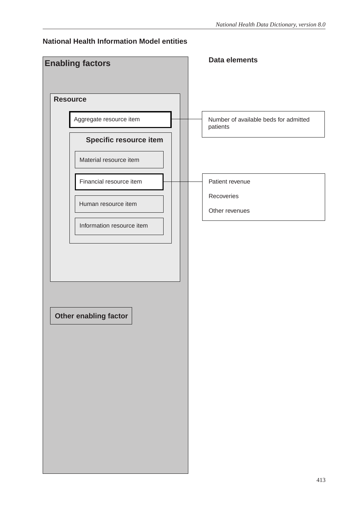## **National Health Information Model entities**

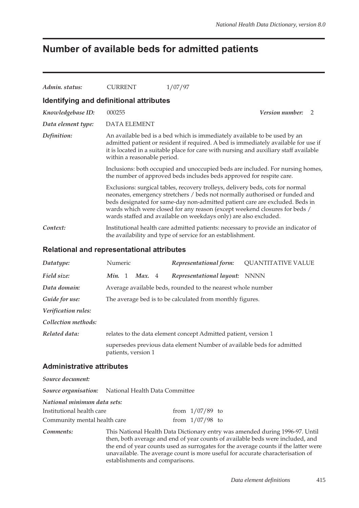# **Number of available beds for admitted patients**

| Admin. status:                          | <b>CURRENT</b>                                                                                                                                                                                                                                                                                                                                                                                  | 1/07/97                                                                                                                                         |  |  |  |  |
|-----------------------------------------|-------------------------------------------------------------------------------------------------------------------------------------------------------------------------------------------------------------------------------------------------------------------------------------------------------------------------------------------------------------------------------------------------|-------------------------------------------------------------------------------------------------------------------------------------------------|--|--|--|--|
| Identifying and definitional attributes |                                                                                                                                                                                                                                                                                                                                                                                                 |                                                                                                                                                 |  |  |  |  |
| Knowledgebase ID:                       | 000255                                                                                                                                                                                                                                                                                                                                                                                          | <i>Version number:</i><br>$\mathcal{L}$                                                                                                         |  |  |  |  |
| Data element type:                      | <b>DATA ELEMENT</b>                                                                                                                                                                                                                                                                                                                                                                             |                                                                                                                                                 |  |  |  |  |
| Definition:                             | An available bed is a bed which is immediately available to be used by an<br>admitted patient or resident if required. A bed is immediately available for use if<br>it is located in a suitable place for care with nursing and auxiliary staff available<br>within a reasonable period.                                                                                                        |                                                                                                                                                 |  |  |  |  |
|                                         | Inclusions: both occupied and unoccupied beds are included. For nursing homes,<br>the number of approved beds includes beds approved for respite care.                                                                                                                                                                                                                                          |                                                                                                                                                 |  |  |  |  |
|                                         | Exclusions: surgical tables, recovery trolleys, delivery beds, cots for normal<br>neonates, emergency stretchers / beds not normally authorised or funded and<br>beds designated for same-day non-admitted patient care are excluded. Beds in<br>wards which were closed for any reason (except weekend closures for beds /<br>wards staffed and available on weekdays only) are also excluded. |                                                                                                                                                 |  |  |  |  |
| Context:                                |                                                                                                                                                                                                                                                                                                                                                                                                 | Institutional health care admitted patients: necessary to provide an indicator of<br>the availability and type of service for an establishment. |  |  |  |  |

### **Relational and representational attributes**

| Datatype:           | Numeric             | Representational form:                                                 | <b>QUANTITATIVE VALUE</b> |
|---------------------|---------------------|------------------------------------------------------------------------|---------------------------|
| Field size:         | Min. 1<br>Max. 4    | Representational layout: NNNN                                          |                           |
| Data domain:        |                     | Average available beds, rounded to the nearest whole number            |                           |
| Guide for use:      |                     | The average bed is to be calculated from monthly figures.              |                           |
| Verification rules: |                     |                                                                        |                           |
| Collection methods: |                     |                                                                        |                           |
| Related data:       |                     | relates to the data element concept Admitted patient, version 1        |                           |
|                     | patients, version 1 | supersedes previous data element Number of available beds for admitted |                           |

### **Administrative attributes**

*Source document: Source organisation:* National Health Data Committee

*National minimum data sets:*

| Institutional health care    | from $1/07/89$ to |  |
|------------------------------|-------------------|--|
| Community mental health care | from $1/07/98$ to |  |

*Comments:* This National Health Data Dictionary entry was amended during 1996-97. Until then, both average and end of year counts of available beds were included, and the end of year counts used as surrogates for the average counts if the latter were unavailable. The average count is more useful for accurate characterisation of establishments and comparisons.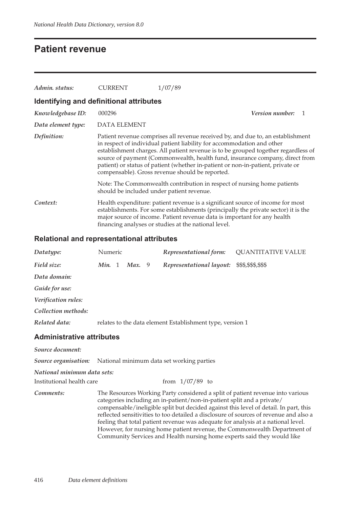## **Patient revenue**

| Admin. status:                          | <b>CURRENT</b>                            | 1/07/89                                                                                                                                                                                                                                                                                                                                                                                                                                                               |  |  |  |  |  |  |  |
|-----------------------------------------|-------------------------------------------|-----------------------------------------------------------------------------------------------------------------------------------------------------------------------------------------------------------------------------------------------------------------------------------------------------------------------------------------------------------------------------------------------------------------------------------------------------------------------|--|--|--|--|--|--|--|
| Identifying and definitional attributes |                                           |                                                                                                                                                                                                                                                                                                                                                                                                                                                                       |  |  |  |  |  |  |  |
| Knowledgebase ID:                       | 000296                                    | <i>Version number:</i><br>-1                                                                                                                                                                                                                                                                                                                                                                                                                                          |  |  |  |  |  |  |  |
| Data element type:                      | <b>DATA ELEMENT</b>                       |                                                                                                                                                                                                                                                                                                                                                                                                                                                                       |  |  |  |  |  |  |  |
| Definition:                             |                                           | Patient revenue comprises all revenue received by, and due to, an establishment<br>in respect of individual patient liability for accommodation and other<br>establishment charges. All patient revenue is to be grouped together regardless of<br>source of payment (Commonwealth, health fund, insurance company, direct from<br>patient) or status of patient (whether in-patient or non-in-patient, private or<br>compensable). Gross revenue should be reported. |  |  |  |  |  |  |  |
|                                         | should be included under patient revenue. | Note: The Commonwealth contribution in respect of nursing home patients                                                                                                                                                                                                                                                                                                                                                                                               |  |  |  |  |  |  |  |
| Context:                                |                                           | Health expenditure: patient revenue is a significant source of income for most<br>establishments. For some establishments (principally the private sector) it is the<br>major source of income. Patient revenue data is important for any health<br>financing analyses or studies at the national level.                                                                                                                                                              |  |  |  |  |  |  |  |

### **Relational and representational attributes**

| Datatype:                                                             | Numeric |        | Representational form:                                    | <b>QUANTITATIVE VALUE</b> |
|-----------------------------------------------------------------------|---------|--------|-----------------------------------------------------------|---------------------------|
| Field size:                                                           | Min. 1  | Max. 9 | Representational layout: \$\$\$,\$\$\$,\$\$\$             |                           |
| Data domain:                                                          |         |        |                                                           |                           |
| Guide for use:                                                        |         |        |                                                           |                           |
| Verification rules:                                                   |         |        |                                                           |                           |
| Collection methods:                                                   |         |        |                                                           |                           |
| Related data:                                                         |         |        | relates to the data element Establishment type, version 1 |                           |
| <b>Administrative attributes</b>                                      |         |        |                                                           |                           |
| Source document:                                                      |         |        |                                                           |                           |
| <b>Source organisation:</b> National minimum data set working parties |         |        |                                                           |                           |
| National minimum data sets:                                           |         |        |                                                           |                           |
| Institutional health care                                             |         |        | from $1/07/89$ to                                         |                           |

*Comments:* The Resources Working Party considered a split of patient revenue into various categories including an in-patient/non-in-patient split and a private/ compensable/ineligible split but decided against this level of detail. In part, this reflected sensitivities to too detailed a disclosure of sources of revenue and also a feeling that total patient revenue was adequate for analysis at a national level. However, for nursing home patient revenue, the Commonwealth Department of Community Services and Health nursing home experts said they would like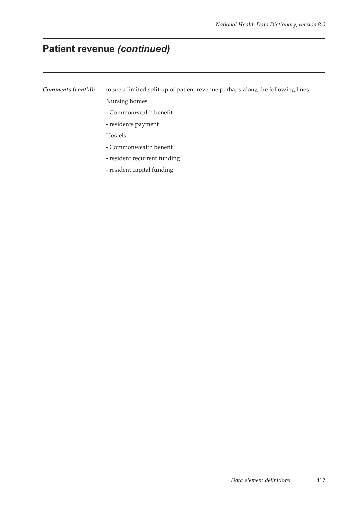# **Patient revenue** *(continued)*

*Comments (cont'd)*: to see a limited split up of patient revenue perhaps along the following lines: Nursing homes

- Commonwealth benefit
- residents payment
- Hostels
- Commonwealth benefit
- resident recurrent funding
- resident capital funding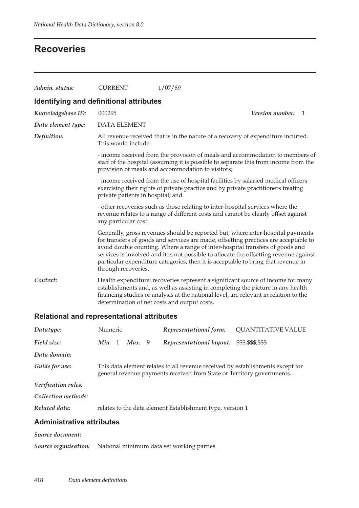# **Recoveries**

| Admin. status:                          | <b>CURRENT</b>                                                                                                                                                                                                                                                                                                                                                                                                                                                 | 1/07/89                                                                                                                                                                                                                                                      |  |  |  |  |  |  |
|-----------------------------------------|----------------------------------------------------------------------------------------------------------------------------------------------------------------------------------------------------------------------------------------------------------------------------------------------------------------------------------------------------------------------------------------------------------------------------------------------------------------|--------------------------------------------------------------------------------------------------------------------------------------------------------------------------------------------------------------------------------------------------------------|--|--|--|--|--|--|
| Identifying and definitional attributes |                                                                                                                                                                                                                                                                                                                                                                                                                                                                |                                                                                                                                                                                                                                                              |  |  |  |  |  |  |
| Knowledgebase ID:                       | 000295                                                                                                                                                                                                                                                                                                                                                                                                                                                         | Version number:<br>$\mathbf{1}$                                                                                                                                                                                                                              |  |  |  |  |  |  |
| Data element type:                      | <b>DATA ELEMENT</b>                                                                                                                                                                                                                                                                                                                                                                                                                                            |                                                                                                                                                                                                                                                              |  |  |  |  |  |  |
| Definition:                             | All revenue received that is in the nature of a recovery of expenditure incurred.<br>This would include:                                                                                                                                                                                                                                                                                                                                                       |                                                                                                                                                                                                                                                              |  |  |  |  |  |  |
|                                         |                                                                                                                                                                                                                                                                                                                                                                                                                                                                | - income received from the provision of meals and accommodation to members of<br>staff of the hospital (assuming it is possible to separate this from income from the<br>provision of meals and accommodation to visitors;                                   |  |  |  |  |  |  |
|                                         | private patients in hospital; and                                                                                                                                                                                                                                                                                                                                                                                                                              | - income received from the use of hospital facilities by salaried medical officers<br>exercising their rights of private practice and by private practitioners treating                                                                                      |  |  |  |  |  |  |
|                                         | - other recoveries such as those relating to inter-hospital services where the<br>revenue relates to a range of different costs and cannot be clearly offset against<br>any particular cost.                                                                                                                                                                                                                                                                   |                                                                                                                                                                                                                                                              |  |  |  |  |  |  |
|                                         | Generally, gross revenues should be reported but, where inter-hospital payments<br>for transfers of goods and services are made, offsetting practices are acceptable to<br>avoid double counting. Where a range of inter-hospital transfers of goods and<br>services is involved and it is not possible to allocate the offsetting revenue against<br>particular expenditure categories, then it is acceptable to bring that revenue in<br>through recoveries. |                                                                                                                                                                                                                                                              |  |  |  |  |  |  |
| Context:                                | determination of net costs and output costs.                                                                                                                                                                                                                                                                                                                                                                                                                   | Health expenditure: recoveries represent a significant source of income for many<br>establishments and, as well as assisting in completing the picture in any health<br>financing studies or analysis at the national level, are relevant in relation to the |  |  |  |  |  |  |

## **Relational and representational attributes**

| Datatype:                        | Numeric |        | Representational form:                                                                                                                                   | <b>QUANTITATIVE VALUE</b> |
|----------------------------------|---------|--------|----------------------------------------------------------------------------------------------------------------------------------------------------------|---------------------------|
| Field size:                      | Min. 1  | Max. 9 | Representational layout:                                                                                                                                 | \$\$\$,\$\$\$,\$\$\$      |
| Data domain:                     |         |        |                                                                                                                                                          |                           |
| Guide for use:                   |         |        | This data element relates to all revenue received by establishments except for<br>general revenue payments received from State or Territory governments. |                           |
| Verification rules:              |         |        |                                                                                                                                                          |                           |
| Collection methods:              |         |        |                                                                                                                                                          |                           |
| Related data:                    |         |        | relates to the data element Establishment type, version 1                                                                                                |                           |
| <b>Administrative attributes</b> |         |        |                                                                                                                                                          |                           |

#### *Source document:*

*Source organisation:* National minimum data set working parties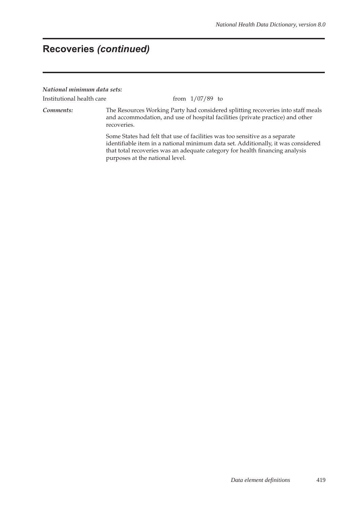#### *National minimum data sets:*

Institutional health care from  $1/07/89$  to

*Comments:* The Resources Working Party had considered splitting recoveries into staff meals and accommodation, and use of hospital facilities (private practice) and other recoveries.

> Some States had felt that use of facilities was too sensitive as a separate identifiable item in a national minimum data set. Additionally, it was considered that total recoveries was an adequate category for health financing analysis purposes at the national level.